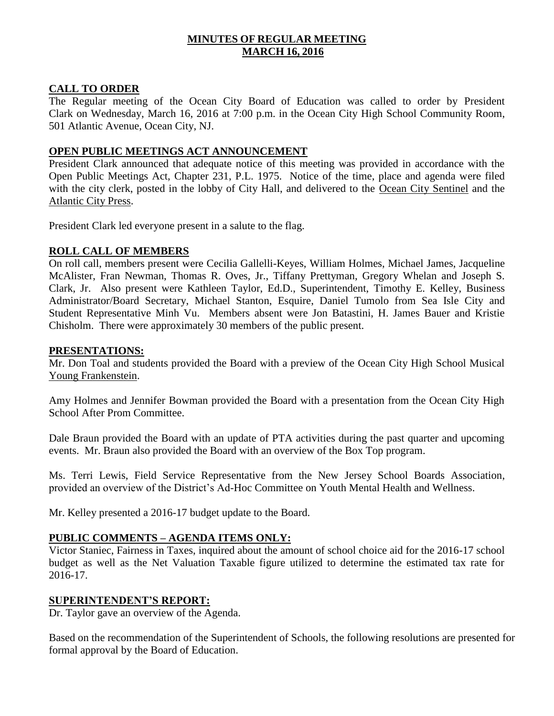# **MINUTES OF REGULAR MEETING MARCH 16, 2016**

## **CALL TO ORDER**

The Regular meeting of the Ocean City Board of Education was called to order by President Clark on Wednesday, March 16, 2016 at 7:00 p.m. in the Ocean City High School Community Room, 501 Atlantic Avenue, Ocean City, NJ.

## **OPEN PUBLIC MEETINGS ACT ANNOUNCEMENT**

President Clark announced that adequate notice of this meeting was provided in accordance with the Open Public Meetings Act, Chapter 231, P.L. 1975. Notice of the time, place and agenda were filed with the city clerk, posted in the lobby of City Hall, and delivered to the Ocean City Sentinel and the Atlantic City Press.

President Clark led everyone present in a salute to the flag.

## **ROLL CALL OF MEMBERS**

On roll call, members present were Cecilia Gallelli-Keyes, William Holmes, Michael James, Jacqueline McAlister, Fran Newman, Thomas R. Oves, Jr., Tiffany Prettyman, Gregory Whelan and Joseph S. Clark, Jr. Also present were Kathleen Taylor, Ed.D., Superintendent, Timothy E. Kelley, Business Administrator/Board Secretary, Michael Stanton, Esquire, Daniel Tumolo from Sea Isle City and Student Representative Minh Vu. Members absent were Jon Batastini, H. James Bauer and Kristie Chisholm. There were approximately 30 members of the public present.

## **PRESENTATIONS:**

Mr. Don Toal and students provided the Board with a preview of the Ocean City High School Musical Young Frankenstein.

Amy Holmes and Jennifer Bowman provided the Board with a presentation from the Ocean City High School After Prom Committee.

Dale Braun provided the Board with an update of PTA activities during the past quarter and upcoming events. Mr. Braun also provided the Board with an overview of the Box Top program.

Ms. Terri Lewis, Field Service Representative from the New Jersey School Boards Association, provided an overview of the District's Ad-Hoc Committee on Youth Mental Health and Wellness.

Mr. Kelley presented a 2016-17 budget update to the Board.

# **PUBLIC COMMENTS – AGENDA ITEMS ONLY:**

Victor Staniec, Fairness in Taxes, inquired about the amount of school choice aid for the 2016-17 school budget as well as the Net Valuation Taxable figure utilized to determine the estimated tax rate for 2016-17.

## **SUPERINTENDENT'S REPORT:**

Dr. Taylor gave an overview of the Agenda.

Based on the recommendation of the Superintendent of Schools, the following resolutions are presented for formal approval by the Board of Education.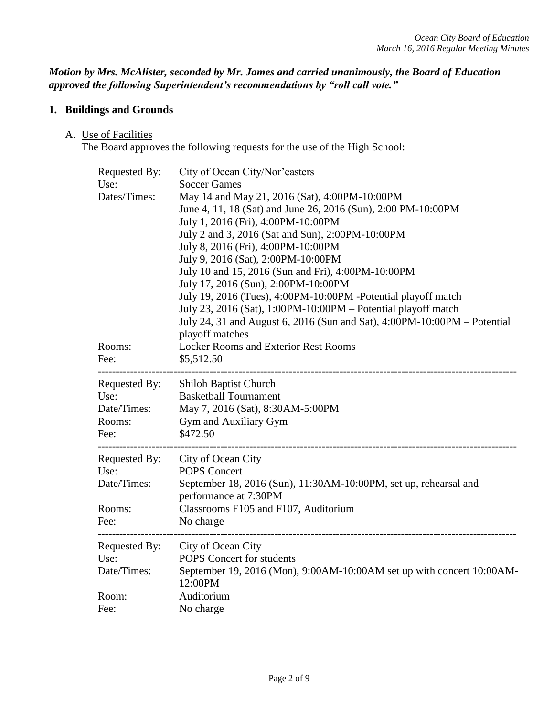*Motion by Mrs. McAlister, seconded by Mr. James and carried unanimously, the Board of Education approved the following Superintendent's recommendations by "roll call vote."* 

# **1. Buildings and Grounds**

#### A. Use of Facilities

The Board approves the following requests for the use of the High School:

| Requested By:<br>Use:<br>Dates/Times:                                          | City of Ocean City/Nor'easters<br><b>Soccer Games</b><br>May 14 and May 21, 2016 (Sat), 4:00PM-10:00PM<br>June 4, 11, 18 (Sat) and June 26, 2016 (Sun), 2:00 PM-10:00PM<br>July 1, 2016 (Fri), 4:00PM-10:00PM<br>July 2 and 3, 2016 (Sat and Sun), 2:00PM-10:00PM<br>July 8, 2016 (Fri), 4:00PM-10:00PM<br>July 9, 2016 (Sat), 2:00PM-10:00PM<br>July 10 and 15, 2016 (Sun and Fri), 4:00PM-10:00PM<br>July 17, 2016 (Sun), 2:00PM-10:00PM<br>July 19, 2016 (Tues), 4:00PM-10:00PM -Potential playoff match<br>July 23, 2016 (Sat), 1:00PM-10:00PM – Potential playoff match<br>July 24, 31 and August 6, 2016 (Sun and Sat), 4:00PM-10:00PM – Potential |  |
|--------------------------------------------------------------------------------|----------------------------------------------------------------------------------------------------------------------------------------------------------------------------------------------------------------------------------------------------------------------------------------------------------------------------------------------------------------------------------------------------------------------------------------------------------------------------------------------------------------------------------------------------------------------------------------------------------------------------------------------------------|--|
| Rooms:<br>Fee:                                                                 | playoff matches<br><b>Locker Rooms and Exterior Rest Rooms</b><br>\$5,512.50                                                                                                                                                                                                                                                                                                                                                                                                                                                                                                                                                                             |  |
| --------------------<br>Requested By:<br>Use:<br>Date/Times:<br>Rooms:<br>Fee: | -----------------------------------<br><b>Shiloh Baptist Church</b><br><b>Basketball Tournament</b><br>May 7, 2016 (Sat), 8:30AM-5:00PM<br>Gym and Auxiliary Gym<br>\$472.50                                                                                                                                                                                                                                                                                                                                                                                                                                                                             |  |
| Requested By:<br>Use:<br>Date/Times:<br>Rooms:<br>Fee:                         | City of Ocean City<br><b>POPS Concert</b><br>September 18, 2016 (Sun), 11:30AM-10:00PM, set up, rehearsal and<br>performance at 7:30PM<br>Classrooms F105 and F107, Auditorium<br>No charge                                                                                                                                                                                                                                                                                                                                                                                                                                                              |  |
| ------------<br>Requested By:<br>Use:<br>Date/Times:<br>Room:                  | City of Ocean City<br>POPS Concert for students<br>September 19, 2016 (Mon), 9:00AM-10:00AM set up with concert 10:00AM-<br>12:00PM<br>Auditorium                                                                                                                                                                                                                                                                                                                                                                                                                                                                                                        |  |
| Fee:                                                                           | No charge                                                                                                                                                                                                                                                                                                                                                                                                                                                                                                                                                                                                                                                |  |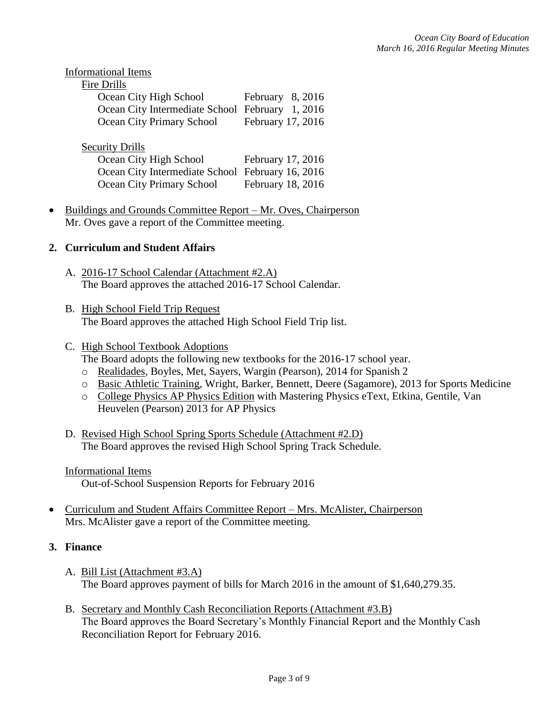| Informational Items                     |                   |
|-----------------------------------------|-------------------|
| Fire Drills                             |                   |
| Ocean City High School                  | February 8, 2016  |
| Ocean City Intermediate School February | 1, 2016           |
| Ocean City Primary School               | February 17, 2016 |
|                                         |                   |
| <b>Security Drills</b>                  |                   |
| Ocean City High School                  | February 17, 2016 |
| Ocean City Intermediate School          | February 16, 2016 |
| Ocean City Primary School               | February 18, 2016 |
|                                         |                   |

• Buildings and Grounds Committee Report – Mr. Oves, Chairperson Mr. Oves gave a report of the Committee meeting.

## **2. Curriculum and Student Affairs**

- A. 2016-17 School Calendar (Attachment #2.A) The Board approves the attached 2016-17 School Calendar.
- B. High School Field Trip Request The Board approves the attached High School Field Trip list.

# C. High School Textbook Adoptions

- The Board adopts the following new textbooks for the 2016-17 school year.
- o Realidades, Boyles, Met, Sayers, Wargin (Pearson), 2014 for Spanish 2
- o Basic Athletic Training, Wright, Barker, Bennett, Deere (Sagamore), 2013 for Sports Medicine
- o College Physics AP Physics Edition with Mastering Physics eText, Etkina, Gentile, Van Heuvelen (Pearson) 2013 for AP Physics
- D. Revised High School Spring Sports Schedule (Attachment #2.D) The Board approves the revised High School Spring Track Schedule.

Informational Items Out-of-School Suspension Reports for February 2016

 Curriculum and Student Affairs Committee Report – Mrs. McAlister, Chairperson Mrs. McAlister gave a report of the Committee meeting.

## **3. Finance**

- A. Bill List (Attachment #3.A) The Board approves payment of bills for March 2016 in the amount of \$1,640,279.35.
- B. Secretary and Monthly Cash Reconciliation Reports (Attachment #3.B) The Board approves the Board Secretary's Monthly Financial Report and the Monthly Cash Reconciliation Report for February 2016.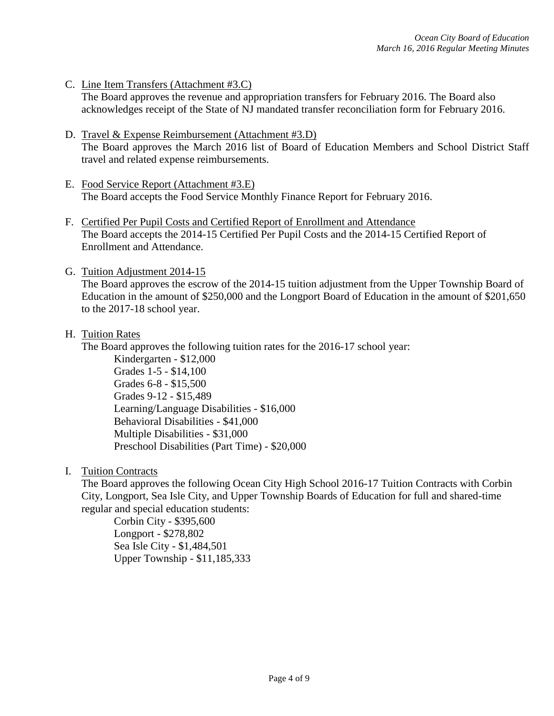- C. Line Item Transfers (Attachment #3.C) The Board approves the revenue and appropriation transfers for February 2016. The Board also acknowledges receipt of the State of NJ mandated transfer reconciliation form for February 2016.
- D. Travel & Expense Reimbursement (Attachment #3.D) The Board approves the March 2016 list of Board of Education Members and School District Staff travel and related expense reimbursements.
- E. Food Service Report (Attachment #3.E) The Board accepts the Food Service Monthly Finance Report for February 2016.
- F. Certified Per Pupil Costs and Certified Report of Enrollment and Attendance The Board accepts the 2014-15 Certified Per Pupil Costs and the 2014-15 Certified Report of Enrollment and Attendance.
- G. Tuition Adjustment 2014-15

The Board approves the escrow of the 2014-15 tuition adjustment from the Upper Township Board of Education in the amount of \$250,000 and the Longport Board of Education in the amount of \$201,650 to the 2017-18 school year.

H. Tuition Rates

The Board approves the following tuition rates for the 2016-17 school year:

Kindergarten - \$12,000 Grades 1-5 - \$14,100 Grades 6-8 - \$15,500 Grades 9-12 - \$15,489 Learning/Language Disabilities - \$16,000 Behavioral Disabilities - \$41,000 Multiple Disabilities - \$31,000 Preschool Disabilities (Part Time) - \$20,000

I. Tuition Contracts

The Board approves the following Ocean City High School 2016-17 Tuition Contracts with Corbin City, Longport, Sea Isle City, and Upper Township Boards of Education for full and shared-time regular and special education students:

Corbin City - \$395,600 Longport - \$278,802 Sea Isle City - \$1,484,501 Upper Township - \$11,185,333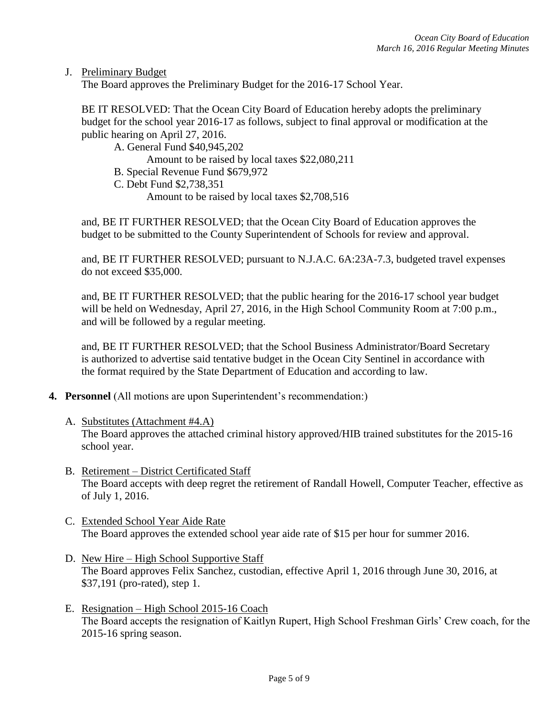J. Preliminary Budget

The Board approves the Preliminary Budget for the 2016-17 School Year.

BE IT RESOLVED: That the Ocean City Board of Education hereby adopts the preliminary budget for the school year 2016-17 as follows, subject to final approval or modification at the public hearing on April 27, 2016.

A. General Fund \$40,945,202

Amount to be raised by local taxes \$22,080,211

- B. Special Revenue Fund \$679,972
- C. Debt Fund \$2,738,351

Amount to be raised by local taxes \$2,708,516

and, BE IT FURTHER RESOLVED; that the Ocean City Board of Education approves the budget to be submitted to the County Superintendent of Schools for review and approval.

and, BE IT FURTHER RESOLVED; pursuant to N.J.A.C. 6A:23A-7.3, budgeted travel expenses do not exceed \$35,000.

and, BE IT FURTHER RESOLVED; that the public hearing for the 2016-17 school year budget will be held on Wednesday, April 27, 2016, in the High School Community Room at 7:00 p.m., and will be followed by a regular meeting.

and, BE IT FURTHER RESOLVED; that the School Business Administrator/Board Secretary is authorized to advertise said tentative budget in the Ocean City Sentinel in accordance with the format required by the State Department of Education and according to law.

- **4. Personnel** (All motions are upon Superintendent's recommendation:)
	- A. Substitutes (Attachment #4.A) The Board approves the attached criminal history approved/HIB trained substitutes for the 2015-16 school year.
	- B. Retirement District Certificated Staff The Board accepts with deep regret the retirement of Randall Howell, Computer Teacher, effective as of July 1, 2016.
	- C. Extended School Year Aide Rate The Board approves the extended school year aide rate of \$15 per hour for summer 2016.
	- D. New Hire High School Supportive Staff The Board approves Felix Sanchez, custodian, effective April 1, 2016 through June 30, 2016, at \$37,191 (pro-rated), step 1.
	- E. Resignation High School 2015-16 Coach The Board accepts the resignation of Kaitlyn Rupert, High School Freshman Girls' Crew coach, for the 2015-16 spring season.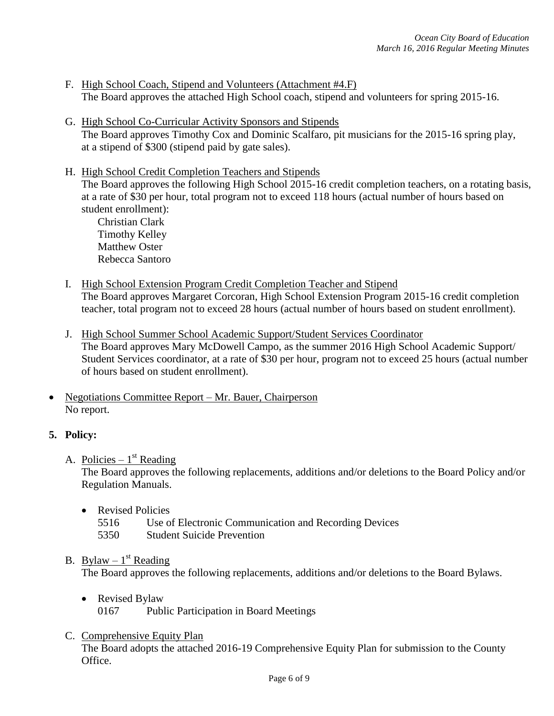- F. High School Coach, Stipend and Volunteers (Attachment #4.F) The Board approves the attached High School coach, stipend and volunteers for spring 2015-16.
- G. High School Co-Curricular Activity Sponsors and Stipends The Board approves Timothy Cox and Dominic Scalfaro, pit musicians for the 2015-16 spring play, at a stipend of \$300 (stipend paid by gate sales).
- H. High School Credit Completion Teachers and Stipends

The Board approves the following High School 2015-16 credit completion teachers, on a rotating basis, at a rate of \$30 per hour, total program not to exceed 118 hours (actual number of hours based on student enrollment):

Christian Clark Timothy Kelley Matthew Oster Rebecca Santoro

- I. High School Extension Program Credit Completion Teacher and Stipend The Board approves Margaret Corcoran, High School Extension Program 2015-16 credit completion teacher, total program not to exceed 28 hours (actual number of hours based on student enrollment).
- J. High School Summer School Academic Support/Student Services Coordinator The Board approves Mary McDowell Campo, as the summer 2016 High School Academic Support/ Student Services coordinator, at a rate of \$30 per hour, program not to exceed 25 hours (actual number of hours based on student enrollment).
- Negotiations Committee Report Mr. Bauer, Chairperson No report.

# **5. Policy:**

A. Policies –  $1<sup>st</sup>$  Reading

The Board approves the following replacements, additions and/or deletions to the Board Policy and/or Regulation Manuals.

- Revised Policies
	- 5516 Use of Electronic Communication and Recording Devices
	- 5350 Student Suicide Prevention

# B. Bylaw  $-1$ <sup>st</sup> Reading

The Board approves the following replacements, additions and/or deletions to the Board Bylaws.

- Revised Bylaw 0167 Public Participation in Board Meetings
- C. Comprehensive Equity Plan

The Board adopts the attached 2016-19 Comprehensive Equity Plan for submission to the County Office.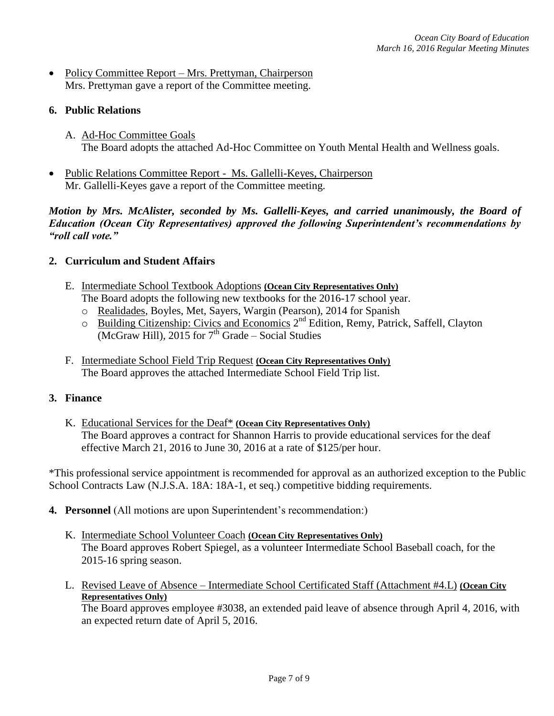• Policy Committee Report – Mrs. Prettyman, Chairperson Mrs. Prettyman gave a report of the Committee meeting.

## **6. Public Relations**

- A. Ad-Hoc Committee Goals The Board adopts the attached Ad-Hoc Committee on Youth Mental Health and Wellness goals.
- Public Relations Committee Report Ms. Gallelli-Keyes, Chairperson Mr. Gallelli-Keyes gave a report of the Committee meeting.

*Motion by Mrs. McAlister, seconded by Ms. Gallelli-Keyes, and carried unanimously, the Board of Education (Ocean City Representatives) approved the following Superintendent's recommendations by "roll call vote."* 

## **2. Curriculum and Student Affairs**

- E. Intermediate School Textbook Adoptions **(Ocean City Representatives Only)** The Board adopts the following new textbooks for the 2016-17 school year.
	- o Realidades, Boyles, Met, Sayers, Wargin (Pearson), 2014 for Spanish
	- o Building Citizenship: Civics and Economics 2<sup>nd</sup> Edition, Remy, Patrick, Saffell, Clayton  $\overline{(McGraw Hill), 2015}$  for  $7<sup>th</sup>$  Grade – Social Studies
- F. Intermediate School Field Trip Request **(Ocean City Representatives Only)** The Board approves the attached Intermediate School Field Trip list.

## **3. Finance**

K. Educational Services for the Deaf\* **(Ocean City Representatives Only)** The Board approves a contract for Shannon Harris to provide educational services for the deaf effective March 21, 2016 to June 30, 2016 at a rate of \$125/per hour.

\*This professional service appointment is recommended for approval as an authorized exception to the Public School Contracts Law (N.J.S.A. 18A: 18A-1, et seq.) competitive bidding requirements.

- **4. Personnel** (All motions are upon Superintendent's recommendation:)
	- K. Intermediate School Volunteer Coach **(Ocean City Representatives Only)** The Board approves Robert Spiegel, as a volunteer Intermediate School Baseball coach, for the 2015-16 spring season.
	- L. Revised Leave of Absence Intermediate School Certificated Staff (Attachment #4.L) **(Ocean City Representatives Only)**

The Board approves employee #3038, an extended paid leave of absence through April 4, 2016, with an expected return date of April 5, 2016.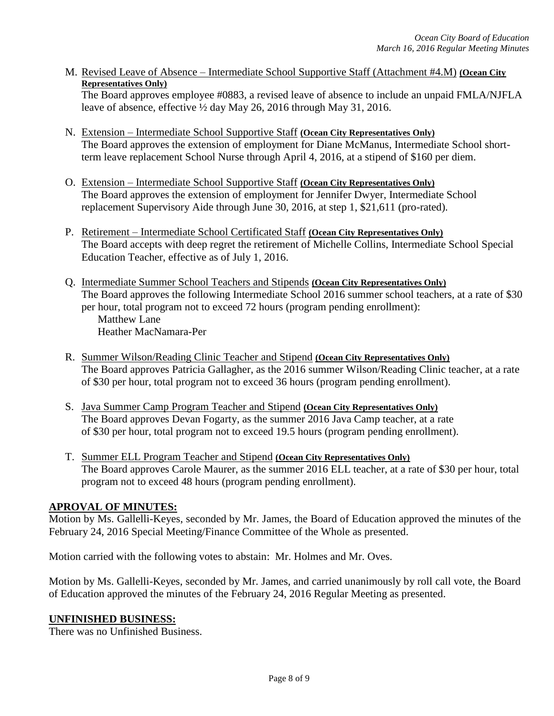M. Revised Leave of Absence – Intermediate School Supportive Staff (Attachment #4.M) **(Ocean City Representatives Only)**

The Board approves employee #0883, a revised leave of absence to include an unpaid FMLA/NJFLA leave of absence, effective ½ day May 26, 2016 through May 31, 2016.

- N. Extension Intermediate School Supportive Staff **(Ocean City Representatives Only)** The Board approves the extension of employment for Diane McManus, Intermediate School shortterm leave replacement School Nurse through April 4, 2016, at a stipend of \$160 per diem.
- O. Extension Intermediate School Supportive Staff **(Ocean City Representatives Only)** The Board approves the extension of employment for Jennifer Dwyer, Intermediate School replacement Supervisory Aide through June 30, 2016, at step 1, \$21,611 (pro-rated).
- P. Retirement Intermediate School Certificated Staff **(Ocean City Representatives Only)** The Board accepts with deep regret the retirement of Michelle Collins, Intermediate School Special Education Teacher, effective as of July 1, 2016.
- Q. Intermediate Summer School Teachers and Stipends **(Ocean City Representatives Only)** The Board approves the following Intermediate School 2016 summer school teachers, at a rate of \$30 per hour, total program not to exceed 72 hours (program pending enrollment): Matthew Lane Heather MacNamara-Per
- R. Summer Wilson/Reading Clinic Teacher and Stipend **(Ocean City Representatives Only)** The Board approves Patricia Gallagher, as the 2016 summer Wilson/Reading Clinic teacher, at a rate of \$30 per hour, total program not to exceed 36 hours (program pending enrollment).
- S. Java Summer Camp Program Teacher and Stipend **(Ocean City Representatives Only)** The Board approves Devan Fogarty, as the summer 2016 Java Camp teacher, at a rate of \$30 per hour, total program not to exceed 19.5 hours (program pending enrollment).
- T. Summer ELL Program Teacher and Stipend **(Ocean City Representatives Only)** The Board approves Carole Maurer, as the summer 2016 ELL teacher, at a rate of \$30 per hour, total program not to exceed 48 hours (program pending enrollment).

# **APROVAL OF MINUTES:**

Motion by Ms. Gallelli-Keyes, seconded by Mr. James, the Board of Education approved the minutes of the February 24, 2016 Special Meeting/Finance Committee of the Whole as presented.

Motion carried with the following votes to abstain: Mr. Holmes and Mr. Oves.

Motion by Ms. Gallelli-Keyes, seconded by Mr. James, and carried unanimously by roll call vote, the Board of Education approved the minutes of the February 24, 2016 Regular Meeting as presented.

## **UNFINISHED BUSINESS:**

There was no Unfinished Business.